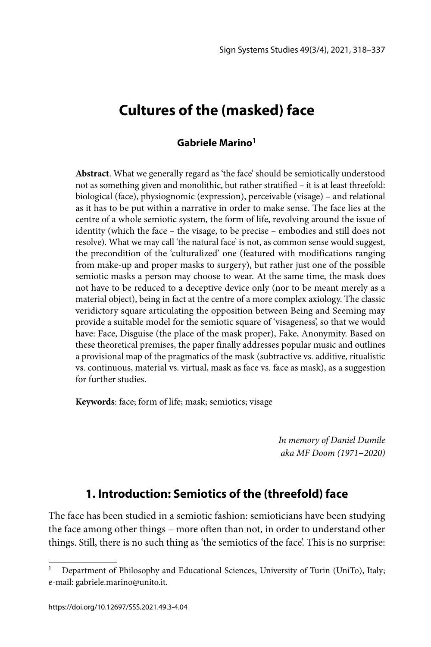# **Cultures of the (masked) face**

### **Gabriele Marino1**

**Abstract**. What we generally regard as 'the face' should be semiotically understood not as something given and monolithic, but rather stratified – it is at least threefold: biological (face), physiognomic (expression), perceivable (visage) – and relational as it has to be put within a narrative in order to make sense. The face lies at the centre of a whole semiotic system, the form of life, revolving around the issue of identity (which the face – the visage, to be precise – embodies and still does not resolve). What we may call 'the natural face' is not, as common sense would suggest, the precondition of the 'culturalized' one (featured with modifications ranging from make-up and proper masks to surgery), but rather just one of the possible semiotic masks a person may choose to wear. At the same time, the mask does not have to be reduced to a deceptive device only (nor to be meant merely as a material object), being in fact at the centre of a more complex axiology. The classic veridictory square articulating the opposition between Being and Seeming may provide a suitable model for the semiotic square of 'visageness', so that we would have: Face, Disguise (the place of the mask proper), Fake, Anonymity. Based on these theoretical premises, the paper finally addresses popular music and outlines a provisional map of the pragmatics of the mask (subtractive vs. additive, ritualistic vs. continuous, material vs. virtual, mask as face vs. face as mask), as a suggestion for further studies.

**Keywords**: face; form of life; mask; semiotics; visage

*In memory of Daniel Dumile aka MF Doom (1971*–*2020)*

# **1. Introduction: Semiotics of the (threefold) face**

The face has been studied in a semiotic fashion: semioticians have been studying the face among other things – more often than not, in order to understand other things. Still, there is no such thing as 'the semiotics of the face'. This is no surprise:

<sup>1</sup> Department of Philosophy and Educational Sciences, University of Turin (UniTo), Italy; e-mail: gabriele.marino@unito.it.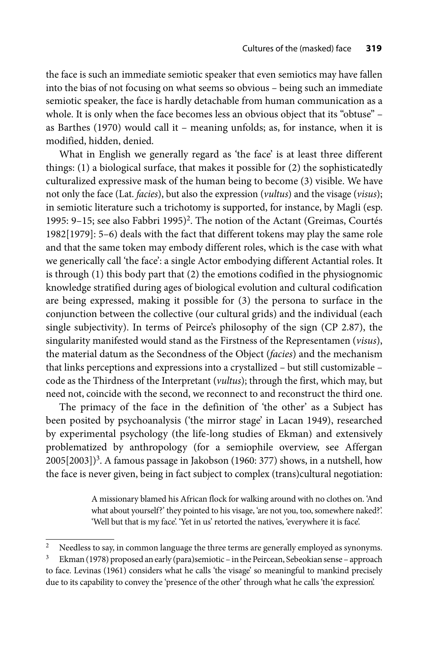the face is such an immediate semiotic speaker that even semiotics may have fallen into the bias of not focusing on what seems so obvious – being such an immediate semiotic speaker, the face is hardly detachable from human communication as a whole. It is only when the face becomes less an obvious object that its "obtuse" – as Barthes (1970) would call it – meaning unfolds; as, for instance, when it is modified, hidden, denied.

What in English we generally regard as 'the face' is at least three different things: (1) a biological surface, that makes it possible for (2) the sophisticatedly culturalized expressive mask of the human being to become (3) visible. We have not only the face (Lat. *facies*), but also the expression (*vultus*) and the visage (*visus*); in semiotic literature such a trichotomy is supported, for instance, by Magli (esp. 1995: 9-15; see also Fabbri 1995)<sup>2</sup>. The notion of the Actant (Greimas, Courtés 1982[1979]: 5–6) deals with the fact that different tokens may play the same role and that the same token may embody different roles, which is the case with what we generically call 'the face': a single Actor embodying different Actantial roles. It is through (1) this body part that (2) the emotions codified in the physiognomic knowledge stratified during ages of biological evolution and cultural codification are being expressed, making it possible for (3) the persona to surface in the conjunction between the collective (our cultural grids) and the individual (each single subjectivity). In terms of Peirce's philosophy of the sign (CP 2.87), the singularity manifested would stand as the Firstness of the Representamen (*visus*), the material datum as the Secondness of the Object (*facies*) and the mechanism that links perceptions and expressions into a crystallized – but still customizable – code as the Thirdness of the Interpretant (*vultus*); through the first, which may, but need not, coincide with the second, we reconnect to and reconstruct the third one.

The primacy of the face in the definition of 'the other' as a Subject has been posited by psychoanalysis ('the mirror stage' in Lacan 1949), researched by experimental psychology (the life-long studies of Ekman) and extensively problematized by anthropology (for a semiophile overview, see Affergan  $2005[2003])<sup>3</sup>$ . A famous passage in Jakobson (1960: 377) shows, in a nutshell, how the face is never given, being in fact subject to complex (trans)cultural negotiation:

> A missionary blamed his African flock for walking around with no clothes on. 'And what about yourself?' they pointed to his visage, 'are not you, too, somewhere naked?'. 'Well but that is my face'. 'Yet in us' retorted the natives, 'everywhere it is face'.

<sup>&</sup>lt;sup>2</sup> Needless to say, in common language the three terms are generally employed as synonyms.<br><sup>3</sup> Ekman (1978) proposed an early (para)semiotic – in the Peircean Sebeokian sense – approach

Ekman (1978) proposed an early (para)semiotic – in the Peircean, Sebeokian sense – approach to face. Levinas (1961) considers what he calls 'the visage' so meaningful to mankind precisely due to its capability to convey the 'presence of the other' through what he calls 'the expression'.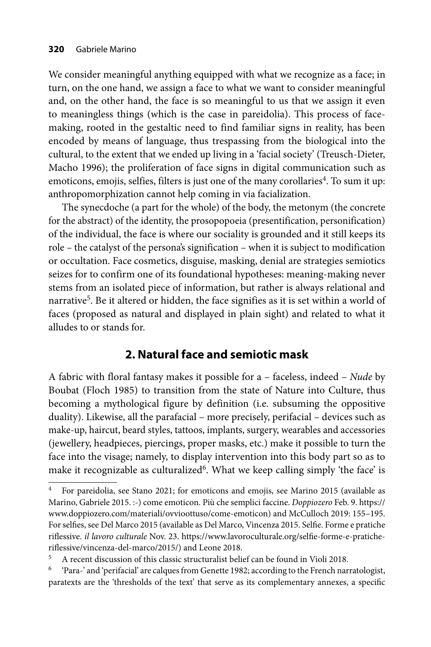We consider meaningful anything equipped with what we recognize as a face; in turn, on the one hand, we assign a face to what we want to consider meaningful and, on the other hand, the face is so meaningful to us that we assign it even to meaningless things (which is the case in pareidolia). This process of facemaking, rooted in the gestaltic need to find familiar signs in reality, has been encoded by means of language, thus trespassing from the biological into the cultural, to the extent that we ended up living in a 'facial society' (Treusch-Dieter, Macho 1996); the proliferation of face signs in digital communication such as emoticons, emojis, selfies, filters is just one of the many corollaries<sup>4</sup>. To sum it up: anthropomorphization cannot help coming in via facialization.

The synecdoche (a part for the whole) of the body, the metonym (the concrete for the abstract) of the identity, the prosopopoeia (presentification, personification) of the individual, the face is where our sociality is grounded and it still keeps its role – the catalyst of the persona's signification – when it is subject to modification or occultation. Face cosmetics, disguise, masking, denial are strategies semiotics seizes for to confirm one of its foundational hypotheses: meaning-making never stems from an isolated piece of information, but rather is always relational and narrative<sup>5</sup>. Be it altered or hidden, the face signifies as it is set within a world of faces (proposed as natural and displayed in plain sight) and related to what it alludes to or stands for.

# **2. Natural face and semiotic mask**

A fabric with floral fantasy makes it possible for a – faceless, indeed – *Nude* by Boubat (Floch 1985) to transition from the state of Nature into Culture, thus becoming a mythological figure by definition (i.e. subsuming the oppositive duality). Likewise, all the parafacial – more precisely, perifacial – devices such as make-up, haircut, beard styles, tattoos, implants, surgery, wearables and accessories (jewellery, headpieces, piercings, proper masks, etc.) make it possible to turn the face into the visage; namely, to display intervention into this body part so as to make it recognizable as culturalized<sup>6</sup>. What we keep calling simply 'the face' is

<sup>4</sup> For pareidolia, see Stano 2021; for emoticons and emojis, see Marino 2015 (available as Marino, Gabriele 2015. :-) come emoticon. Più che semplici faccine. *Doppiozero* Feb. 9. https:// www.doppiozero.com/materiali/ovvioottuso/come-emoticon) and McCulloch 2019: 155–195. For selfies, see Del Marco 2015 (available as Del Marco, Vincenza 2015. Selfie. Forme e pratiche riflessive. *il lavoro culturale* Nov. 23. https://www.lavoroculturale.org/selfie-forme-e-praticheriflessive/vincenza-del-marco/2015/) and Leone 2018.

<sup>5</sup> A recent discussion of this classic structuralist belief can be found in Violi 2018.

<sup>6 &#</sup>x27;Para-' and 'perifacial' are calques from Genette 1982; according to the French narratologist, paratexts are the 'thresholds of the text' that serve as its complementary annexes, a specific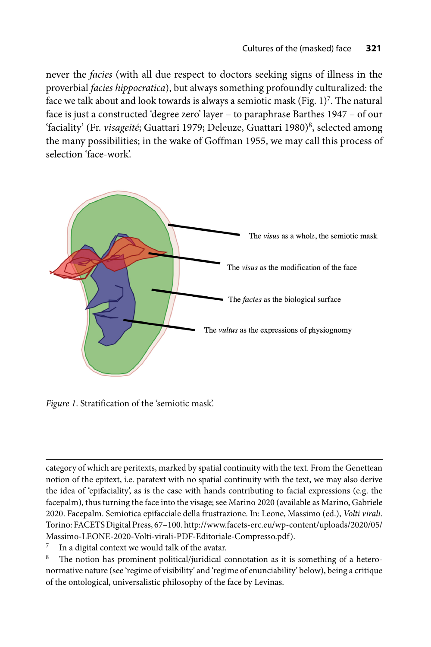never the *facies* (with all due respect to doctors seeking signs of illness in the proverbial *facies hippocratica*), but always something profoundly culturalized: the face we talk about and look towards is always a semiotic mask (Fig.  $1$ )<sup>7</sup>. The natural face is just a constructed 'degree zero' layer – to paraphrase Barthes 1947 – of our 'faciality' (Fr. *visageité*; Guattari 1979; Deleuze, Guattari 1980)<sup>8</sup>, selected among the many possibilities; in the wake of Goffman 1955, we may call this process of selection 'face-work'.



*Figure 1*. Stratification of the 'semiotic mask'.

category of which are peritexts, marked by spatial continuity with the text. From the Genettean notion of the epitext, i.e. paratext with no spatial continuity with the text, we may also derive the idea of 'epifaciality', as is the case with hands contributing to facial expressions (e.g. the facepalm), thus turning the face into the visage; see Marino 2020 (available as Marino, Gabriele 2020. Facepalm. Semiotica epifacciale della frustrazione. In: Leone, Massimo (ed.), *Volti virali*. [Torino: FACETS Digital Press, 67–100. http://www.facets-erc.eu/wp-content/uploads/2020/05/](http://www.facets-erc.eu/wp-content/uploads/2020/05/Massimo-LEONE-2020-Volti-virali-PDF-Editoriale-Compresso.pdf) Massimo-LEONE-2020-Volti-virali-PDF-Editoriale-Compresso.pdf).

 $\frac{7}{8}$  In a digital context we would talk of the avatar.

The notion has prominent political/juridical connotation as it is something of a heteronormative nature (see 'regime of visibility' and 'regime of enunciability' below), being a critique of the ontological, universalistic philosophy of the face by Levinas.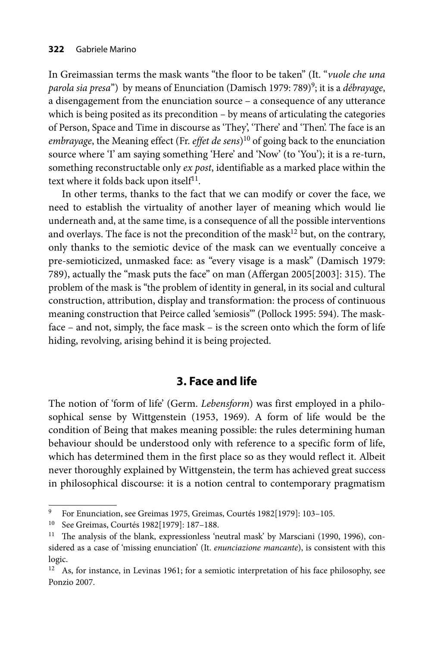In Greimassian terms the mask wants "the floor to be taken" (It. "*vuole che una parola sia presa*") by means of Enunciation (Damisch 1979: 789)9; it is a *débrayage*, a disengagement from the enunciation source – a consequence of any utterance which is being posited as its precondition – by means of articulating the categories of Person, Space and Time in discourse as 'They', 'There' and 'Then'. The face is an *embrayage*, the Meaning effect (Fr. *effet de sens*)<sup>10</sup> of going back to the enunciation source where 'I' am saying something 'Here' and 'Now' (to 'You'); it is a re-turn, something reconstructable only *ex post*, identifiable as a marked place within the text where it folds back upon itself $11$ .

In other terms, thanks to the fact that we can modify or cover the face, we need to establish the virtuality of another layer of meaning which would lie underneath and, at the same time, is a consequence of all the possible interventions and overlays. The face is not the precondition of the mask<sup>12</sup> but, on the contrary, only thanks to the semiotic device of the mask can we eventually conceive a pre-semioticized, unmasked face: as "every visage is a mask" (Damisch 1979: 789), actually the "mask puts the face" on man (Affergan 2005[2003]: 315). The problem of the mask is "the problem of identity in general, in its social and cultural construction, attribution, display and transformation: the process of continuous meaning construction that Peirce called 'semiosis'" (Pollock 1995: 594). The maskface – and not, simply, the face mask – is the screen onto which the form of life hiding, revolving, arising behind it is being projected.

### **3. Face and life**

The notion of 'form of life' (Germ. *Lebensform*) was first employed in a philosophical sense by Wittgenstein (1953, 1969). A form of life would be the condition of Being that makes meaning possible: the rules determining human behaviour should be understood only with reference to a specific form of life, which has determined them in the first place so as they would reflect it. Albeit never thoroughly explained by Wittgenstein, the term has achieved great success in philosophical discourse: it is a notion central to contemporary pragmatism

<sup>9</sup> For Enunciation, see Greimas 1975, Greimas, Courtés 1982[1979]: 103–105.

<sup>10</sup> See Greimas, Courtés 1982[1979]: 187–188.

<sup>&</sup>lt;sup>11</sup> The analysis of the blank, expressionless 'neutral mask' by Marsciani (1990, 1996), considered as a case of 'missing enunciation' (It. *enunciazione mancante*), is consistent with this logic.

<sup>&</sup>lt;sup>12</sup> As, for instance, in Levinas 1961; for a semiotic interpretation of his face philosophy, see Ponzio 2007.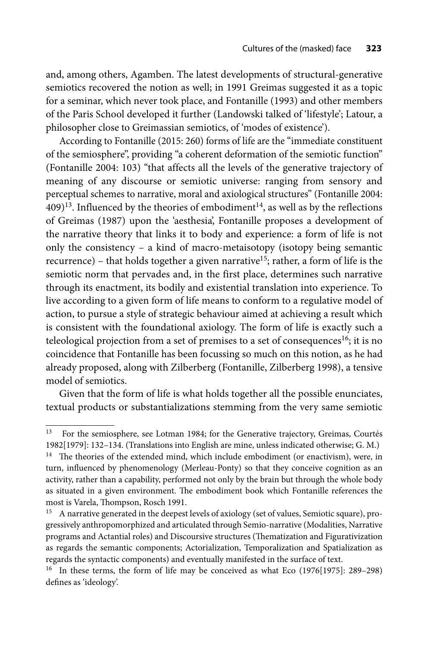and, among others, Agamben. The latest developments of structural-generative semiotics recovered the notion as well; in 1991 Greimas suggested it as a topic for a seminar, which never took place, and Fontanille (1993) and other members of the Paris School developed it further (Landowski talked of 'lifestyle'; Latour, a philosopher close to Greimassian semiotics, of 'modes of existence').

According to Fontanille (2015: 260) forms of life are the "immediate constituent of the semiosphere", providing "a coherent deformation of the semiotic function" (Fontanille 2004: 103) "that affects all the levels of the generative trajectory of meaning of any discourse or semiotic universe: ranging from sensory and perceptual schemes to narrative, moral and axiological structures" (Fontanille 2004:  $409)$ <sup>13</sup>. Influenced by the theories of embodiment<sup>14</sup>, as well as by the reflections of Greimas (1987) upon the 'aesthesia', Fontanille proposes a development of the narrative theory that links it to body and experience: a form of life is not only the consistency – a kind of macro-metaisotopy (isotopy being semantic recurrence) – that holds together a given narrative<sup>15</sup>; rather, a form of life is the semiotic norm that pervades and, in the first place, determines such narrative through its enactment, its bodily and existential translation into experience. To live according to a given form of life means to conform to a regulative model of action, to pursue a style of strategic behaviour aimed at achieving a result which is consistent with the foundational axiology. The form of life is exactly such a teleological projection from a set of premises to a set of consequences<sup>16</sup>; it is no coincidence that Fontanille has been focussing so much on this notion, as he had already proposed, along with Zilberberg (Fontanille, Zilberberg 1998), a tensive model of semiotics.

Given that the form of life is what holds together all the possible enunciates, textual products or substantializations stemming from the very same semiotic

most is Varela, Thompson, Rosch 1991.

<sup>&</sup>lt;sup>13</sup> For the semiosphere, see Lotman 1984; for the Generative trajectory, Greimas, Courtés 1982[1979]: 132–134. (Translations into English are mine, unless indicated otherwise; G. M.)  $14$  The theories of the extended mind, which include embodiment (or enactivism), were, in turn, influenced by phenomenology (Merleau-Ponty) so that they conceive cognition as an activity, rather than a capability, performed not only by the brain but through the whole body as situated in a given environment. The embodiment book which Fontanille references the

<sup>&</sup>lt;sup>15</sup> A narrative generated in the deepest levels of axiology (set of values, Semiotic square), progressively anthropomorphized and articulated through Semio-narrative (Modalities, Narrative programs and Actantial roles) and Discoursive structures (Thematization and Figurativization as regards the semantic components; Actorialization, Temporalization and Spatialization as regards the syntactic components) and eventually manifested in the surface of text.

<sup>&</sup>lt;sup>16</sup> In these terms, the form of life may be conceived as what Eco (1976[1975]: 289–298) defines as 'ideology'.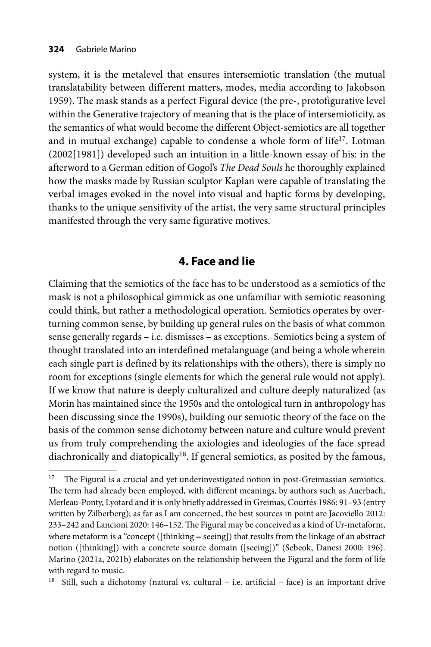system, it is the metalevel that ensures intersemiotic translation (the mutual translatability between different matters, modes, media according to Jakobson 1959). The mask stands as a perfect Figural device (the pre-, protofigurative level within the Generative trajectory of meaning that is the place of intersemioticity, as the semantics of what would become the different Object-semiotics are all together and in mutual exchange) capable to condense a whole form of life<sup>17</sup>. Lotman (2002[1981]) developed such an intuition in a little-known essay of his: in the afterword to a German edition of Gogol's *The Dead Souls* he thoroughly explained how the masks made by Russian sculptor Kaplan were capable of translating the verbal images evoked in the novel into visual and haptic forms by developing, thanks to the unique sensitivity of the artist, the very same structural principles manifested through the very same figurative motives.

# **4. Face and lie**

Claiming that the semiotics of the face has to be understood as a semiotics of the mask is not a philosophical gimmick as one unfamiliar with semiotic reasoning could think, but rather a methodological operation. Semiotics operates by overturning common sense, by building up general rules on the basis of what common sense generally regards – i.e. dismisses – as exceptions. Semiotics being a system of thought translated into an interdefined metalanguage (and being a whole wherein each single part is defined by its relationships with the others), there is simply no room for exceptions (single elements for which the general rule would not apply). If we know that nature is deeply culturalized and culture deeply naturalized (as Morin has maintained since the 1950s and the ontological turn in anthropology has been discussing since the 1990s), building our semiotic theory of the face on the basis of the common sense dichotomy between nature and culture would prevent us from truly comprehending the axiologies and ideologies of the face spread diachronically and diatopically<sup>18</sup>. If general semiotics, as posited by the famous,

 $17$  The Figural is a crucial and yet underinvestigated notion in post-Greimassian semiotics. The term had already been employed, with different meanings, by authors such as Auerbach, Merleau-Ponty, Lyotard and it is only briefly addressed in Greimas, Courtés 1986: 91–93 (entry written by Zilberberg); as far as I am concerned, the best sources in point are Jacoviello 2012: 233-242 and Lancioni 2020: 146-152. The Figural may be conceived as a kind of Ur-metaform, where metaform is a "concept ([thinking = seeing]) that results from the linkage of an abstract notion ([thinking]) with a concrete source domain ([seeing])" (Sebeok, Danesi 2000: 196). Marino (2021a, 2021b) elaborates on the relationship between the Figural and the form of life with regard to music.

<sup>&</sup>lt;sup>18</sup> Still, such a dichotomy (natural vs. cultural  $-$  i.e. artificial  $-$  face) is an important drive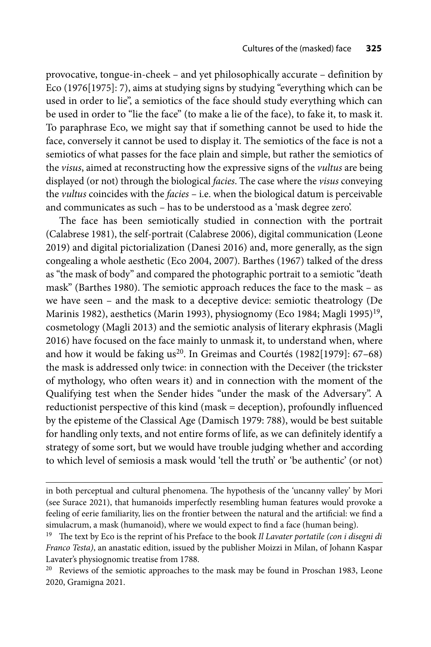provocative, tongue-in-cheek – and yet philosophically accurate – definition by Eco (1976[1975]: 7), aims at studying signs by studying "everything which can be used in order to lie", a semiotics of the face should study everything which can be used in order to "lie the face" (to make a lie of the face), to fake it, to mask it. To paraphrase Eco, we might say that if something cannot be used to hide the face, conversely it cannot be used to display it. The semiotics of the face is not a semiotics of what passes for the face plain and simple, but rather the semiotics of the *visus*, aimed at reconstructing how the expressive signs of the *vultus* are being displayed (or not) through the biological *facies*. The case where the *visus* conveying the *vultus* coincides with the *facies* – i.e. when the biological datum is perceivable and communicates as such – has to be understood as a 'mask degree zero'.

The face has been semiotically studied in connection with the portrait (Calabrese 1981), the self-portrait (Calabrese 2006), digital communication (Leone 2019) and digital pictorialization (Danesi 2016) and, more generally, as the sign congealing a whole aesthetic (Eco 2004, 2007). Barthes (1967) talked of the dress as "the mask of body" and compared the photographic portrait to a semiotic "death mask" (Barthes 1980). The semiotic approach reduces the face to the mask – as we have seen – and the mask to a deceptive device: semiotic theatrology (De Marinis 1982), aesthetics (Marin 1993), physiognomy (Eco 1984; Magli 1995)<sup>19</sup>, cosmetology (Magli 2013) and the semiotic analysis of literary ekphrasis (Magli 2016) have focused on the face mainly to unmask it, to understand when, where and how it would be faking  $us^{20}$ . In Greimas and Courtés (1982[1979]: 67–68) the mask is addressed only twice: in connection with the Deceiver (the trickster of mythology, who often wears it) and in connection with the moment of the Qualifying test when the Sender hides "under the mask of the Adversary". A reductionist perspective of this kind (mask = deception), profoundly influenced by the episteme of the Classical Age (Damisch 1979: 788), would be best suitable for handling only texts, and not entire forms of life, as we can definitely identify a strategy of some sort, but we would have trouble judging whether and according to which level of semiosis a mask would 'tell the truth' or 'be authentic' (or not)

in both perceptual and cultural phenomena. The hypothesis of the 'uncanny valley' by Mori (see Surace 2021), that humanoids imperfectly resembling human features would provoke a feeling of eerie familiarity, lies on the frontier between the natural and the artificial: we find a simulacrum, a mask (humanoid), where we would expect to find a face (human being).

<sup>&</sup>lt;sup>19</sup> The text by Eco is the reprint of his Preface to the book *Il Lavater portatile (con i disegni di Franco Testa)*, an anastatic edition, issued by the publisher Moizzi in Milan, of Johann Kaspar Lavater's physiognomic treatise from 1788.

<sup>&</sup>lt;sup>20</sup> Reviews of the semiotic approaches to the mask may be found in Proschan 1983, Leone 2020, Gramigna 2021.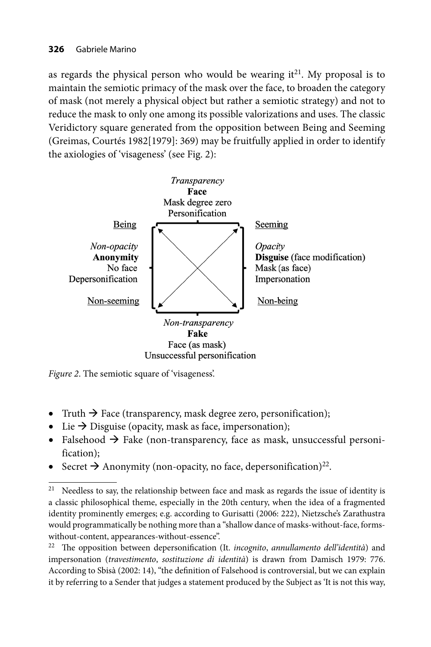as regards the physical person who would be wearing  $it^{21}$ . My proposal is to maintain the semiotic primacy of the mask over the face, to broaden the category of mask (not merely a physical object but rather a semiotic strategy) and not to reduce the mask to only one among its possible valorizations and uses. The classic Veridictory square generated from the opposition between Being and Seeming (Greimas, Courtés 1982[1979]: 369) may be fruitfully applied in order to identify the axiologies of 'visageness' (see Fig. 2):



*Figure 2*. The semiotic square of 'visageness'.

- Truth  $\rightarrow$  Face (transparency, mask degree zero, personification);
- Lie  $\rightarrow$  Disguise (opacity, mask as face, impersonation);
- Falsehood  $\rightarrow$  Fake (non-transparency, face as mask, unsuccessful personification);
- Secret  $\rightarrow$  Anonymity (non-opacity, no face, depersonification)<sup>22</sup>.

<sup>&</sup>lt;sup>21</sup> Needless to say, the relationship between face and mask as regards the issue of identity is a classic philosophical theme, especially in the 20th century, when the idea of a fragmented identity prominently emerges; e.g. according to Gurisatti (2006: 222), Nietzsche's Zarathustra would programmatically be nothing more than a "shallow dance of masks-without-face, formswithout-content, appearances-without-essence".

<sup>&</sup>lt;sup>22</sup> The opposition between depersonification (It. *incognito*, *annullamento dell'identità*) and impersonation (*travestimento*, *sostituzione di identità*) is drawn from Damisch 1979: 776. According to Sbisà (2002: 14), "the definition of Falsehood is controversial, but we can explain it by referring to a Sender that judges a statement produced by the Subject as 'It is not this way,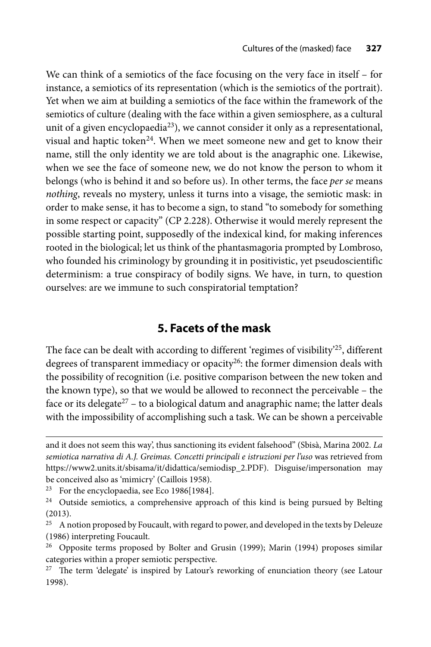We can think of a semiotics of the face focusing on the very face in itself – for instance, a semiotics of its representation (which is the semiotics of the portrait). Yet when we aim at building a semiotics of the face within the framework of the semiotics of culture (dealing with the face within a given semiosphere, as a cultural unit of a given encyclopaedia<sup>23</sup>), we cannot consider it only as a representational, visual and haptic token<sup>24</sup>. When we meet someone new and get to know their name, still the only identity we are told about is the anagraphic one. Likewise, when we see the face of someone new, we do not know the person to whom it belongs (who is behind it and so before us). In other terms, the face *per se* means *nothing*, reveals no mystery, unless it turns into a visage, the semiotic mask: in order to make sense, it has to become a sign, to stand "to somebody for something in some respect or capacity" (CP 2.228). Otherwise it would merely represent the possible starting point, supposedly of the indexical kind, for making inferences rooted in the biological; let us think of the phantasmagoria prompted by Lombroso, who founded his criminology by grounding it in positivistic, yet pseudoscientific determinism: a true conspiracy of bodily signs. We have, in turn, to question ourselves: are we immune to such conspiratorial temptation?

# **5. Facets of the mask**

The face can be dealt with according to different 'regimes of visibility'<sup>25</sup>, different degrees of transparent immediacy or opacity<sup>26</sup>: the former dimension deals with the possibility of recognition (i.e. positive comparison between the new token and the known type), so that we would be allowed to reconnect the perceivable – the face or its delegate $27$  – to a biological datum and anagraphic name; the latter deals with the impossibility of accomplishing such a task. We can be shown a perceivable

and it does not seem this way', thus sanctioning its evident falsehood" (Sbisà, Marina 2002. *La semiotica narrativa di A.J. Greimas. Concetti principali e istruzioni per l'uso* was retrieved from https://www2.units.it/sbisama/it/didattica/semiodisp\_2.PDF). Disguise/impersonation may be conceived also as 'mimicry' (Caillois 1958).

<sup>&</sup>lt;sup>23</sup> For the encyclopaedia, see Eco 1986[1984].

<sup>&</sup>lt;sup>24</sup> Outside semiotics, a comprehensive approach of this kind is being pursued by Belting (2013).

 $25$  A notion proposed by Foucault, with regard to power, and developed in the texts by Deleuze (1986) interpreting Foucault.

<sup>26</sup> Opposite terms proposed by Bolter and Grusin (1999); Marin (1994) proposes similar categories within a proper semiotic perspective.

 $27$  The term 'delegate' is inspired by Latour's reworking of enunciation theory (see Latour 1998).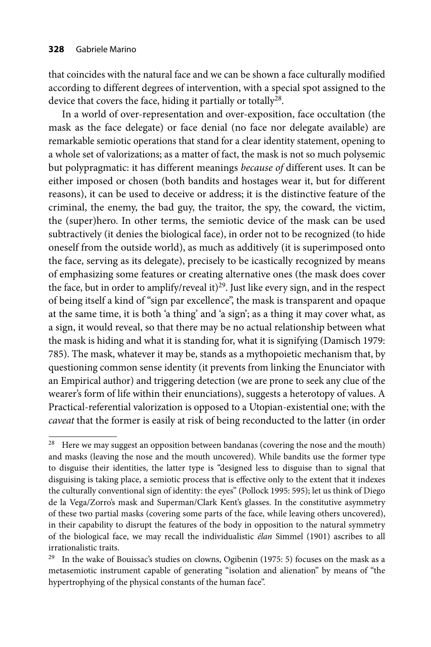that coincides with the natural face and we can be shown a face culturally modified according to different degrees of intervention, with a special spot assigned to the device that covers the face, hiding it partially or totally<sup>28</sup>.

In a world of over-representation and over-exposition, face occultation (the mask as the face delegate) or face denial (no face nor delegate available) are remarkable semiotic operations that stand for a clear identity statement, opening to a whole set of valorizations; as a matter of fact, the mask is not so much polysemic but polypragmatic: it has different meanings *because of* different uses. It can be either imposed or chosen (both bandits and hostages wear it, but for different reasons), it can be used to deceive or address; it is the distinctive feature of the criminal, the enemy, the bad guy, the traitor, the spy, the coward, the victim, the (super)hero. In other terms, the semiotic device of the mask can be used subtractively (it denies the biological face), in order not to be recognized (to hide oneself from the outside world), as much as additively (it is superimposed onto the face, serving as its delegate), precisely to be icastically recognized by means of emphasizing some features or creating alternative ones (the mask does cover the face, but in order to amplify/reveal it)<sup>29</sup>. Just like every sign, and in the respect of being itself a kind of "sign par excellence", the mask is transparent and opaque at the same time, it is both 'a thing' and 'a sign'; as a thing it may cover what, as a sign, it would reveal, so that there may be no actual relationship between what the mask is hiding and what it is standing for, what it is signifying (Damisch 1979: 785). The mask, whatever it may be, stands as a mythopoietic mechanism that, by questioning common sense identity (it prevents from linking the Enunciator with an Empirical author) and triggering detection (we are prone to seek any clue of the wearer's form of life within their enunciations), suggests a heterotopy of values. A Practical-referential valorization is opposed to a Utopian-existential one; with the *caveat* that the former is easily at risk of being reconducted to the latter (in order

 $28$  Here we may suggest an opposition between bandanas (covering the nose and the mouth) and masks (leaving the nose and the mouth uncovered). While bandits use the former type to disguise their identities, the latter type is "designed less to disguise than to signal that disguising is taking place, a semiotic process that is effective only to the extent that it indexes the culturally conventional sign of identity: the eyes" (Pollock 1995: 595); let us think of Diego de la Vega/Zorro's mask and Superman/Clark Kent's glasses. In the constitutive asymmetry of these two partial masks (covering some parts of the face, while leaving others uncovered), in their capability to disrupt the features of the body in opposition to the natural symmetry of the biological face, we may recall the individualistic *élan* Simmel (1901) ascribes to all irrationalistic traits.

<sup>&</sup>lt;sup>29</sup> In the wake of Bouissac's studies on clowns, Ogibenin (1975: 5) focuses on the mask as a metasemiotic instrument capable of generating "isolation and alienation" by means of "the hypertrophying of the physical constants of the human face".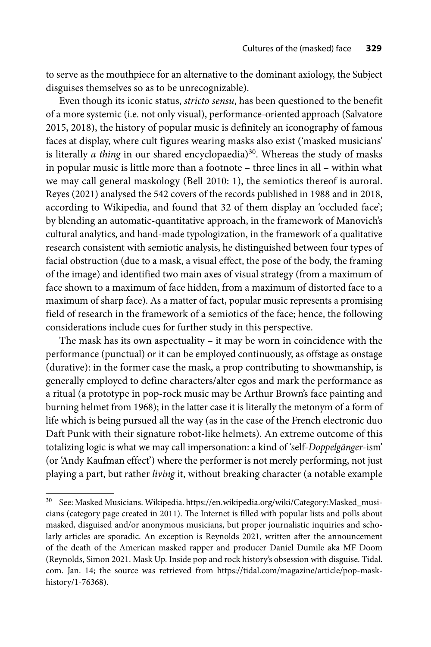to serve as the mouthpiece for an alternative to the dominant axiology, the Subject disguises themselves so as to be unrecognizable).

Even though its iconic status, *stricto sensu*, has been questioned to the benefit of a more systemic (i.e. not only visual), performance-oriented approach (Salvatore 2015, 2018), the history of popular music is definitely an iconography of famous faces at display, where cult figures wearing masks also exist ('masked musicians' is literally *a thing* in our shared encyclopaedia)<sup>30</sup>. Whereas the study of masks in popular music is little more than a footnote – three lines in all – within what we may call general maskology (Bell 2010: 1), the semiotics thereof is auroral. Reyes (2021) analysed the 542 covers of the records published in 1988 and in 2018, according to Wikipedia, and found that 32 of them display an 'occluded face'; by blending an automatic-quantitative approach, in the framework of Manovich's cultural analytics, and hand-made typologization, in the framework of a qualitative research consistent with semiotic analysis, he distinguished between four types of facial obstruction (due to a mask, a visual effect, the pose of the body, the framing of the image) and identified two main axes of visual strategy (from a maximum of face shown to a maximum of face hidden, from a maximum of distorted face to a maximum of sharp face). As a matter of fact, popular music represents a promising field of research in the framework of a semiotics of the face; hence, the following considerations include cues for further study in this perspective.

The mask has its own aspectuality – it may be worn in coincidence with the performance (punctual) or it can be employed continuously, as offstage as onstage (durative): in the former case the mask, a prop contributing to showmanship, is generally employed to define characters/alter egos and mark the performance as a ritual (a prototype in pop-rock music may be Arthur Brown's face painting and burning helmet from 1968); in the latter case it is literally the metonym of a form of life which is being pursued all the way (as in the case of the French electronic duo Daft Punk with their signature robot-like helmets). An extreme outcome of this totalizing logic is what we may call impersonation: a kind of 'self-*Doppelgänger*-ism' (or 'Andy Kaufman effect') where the performer is not merely performing, not just playing a part, but rather *living* it, without breaking character (a notable example

<sup>&</sup>lt;sup>30</sup> See: Masked Musicians. Wikipedia. https://en.wikipedia.org/wiki/Category:Masked\_musicians (category page created in 2011). The Internet is filled with popular lists and polls about masked, disguised and/or anonymous musicians, but proper journalistic inquiries and scholarly articles are sporadic. An exception is Reynolds 2021, written after the announcement of the death of the American masked rapper and producer Daniel Dumile aka MF Doom (Reynolds, Simon 2021. Mask Up. Inside pop and rock history's obsession with disguise. Tidal. com. Jan. 14; the source was retrieved from https://tidal.com/magazine/article/pop-maskhistory/1-76368).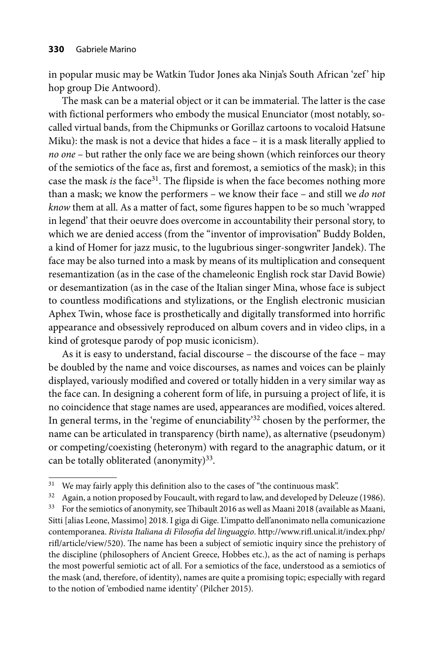in popular music may be Watkin Tudor Jones aka Ninja's South African 'zef' hip hop group Die Antwoord).

The mask can be a material object or it can be immaterial. The latter is the case with fictional performers who embody the musical Enunciator (most notably, socalled virtual bands, from the Chipmunks or Gorillaz cartoons to vocaloid Hatsune Miku): the mask is not a device that hides a face – it is a mask literally applied to *no one* – but rather the only face we are being shown (which reinforces our theory of the semiotics of the face as, first and foremost, a semiotics of the mask); in this case the mask *is* the face<sup>31</sup>. The flipside is when the face becomes nothing more than a mask; we know the performers – we know their face – and still we *do not know* them at all. As a matter of fact, some figures happen to be so much 'wrapped in legend' that their oeuvre does overcome in accountability their personal story, to which we are denied access (from the "inventor of improvisation" Buddy Bolden, a kind of Homer for jazz music, to the lugubrious singer-songwriter Jandek). The face may be also turned into a mask by means of its multiplication and consequent resemantization (as in the case of the chameleonic English rock star David Bowie) or desemantization (as in the case of the Italian singer Mina, whose face is subject to countless modifications and stylizations, or the English electronic musician Aphex Twin, whose face is prosthetically and digitally transformed into horrific appearance and obsessively reproduced on album covers and in video clips, in a kind of grotesque parody of pop music iconicism).

As it is easy to understand, facial discourse – the discourse of the face – may be doubled by the name and voice discourses, as names and voices can be plainly displayed, variously modified and covered or totally hidden in a very similar way as the face can. In designing a coherent form of life, in pursuing a project of life, it is no coincidence that stage names are used, appearances are modified, voices altered. In general terms, in the 'regime of enunciability'<sup>32</sup> chosen by the performer, the name can be articulated in transparency (birth name), as alternative (pseudonym) or competing/coexisting (heteronym) with regard to the anagraphic datum, or it can be totally obliterated (anonymity) $33$ .

 $31$  We may fairly apply this definition also to the cases of "the continuous mask".

 $32$  Again, a notion proposed by Foucault, with regard to law, and developed by Deleuze (1986).

<sup>&</sup>lt;sup>33</sup> For the semiotics of anonymity, see Thibault 2016 as well as Maani 2018 (available as Maani, Sitti [alias Leone, Massimo] 2018. I giga di Gige. L'impatto dell'anonimato nella comunicazione contemporanea. *Rivista Italiana di Filosofia del linguaggio*. http://www.rifl.unical.it/index.php/ rifl/article/view/520). The name has been a subject of semiotic inquiry since the prehistory of the discipline (philosophers of Ancient Greece, Hobbes etc.), as the act of naming is perhaps the most powerful semiotic act of all. For a semiotics of the face, understood as a semiotics of the mask (and, therefore, of identity), names are quite a promising topic; especially with regard to the notion of 'embodied name identity' (Pilcher 2015).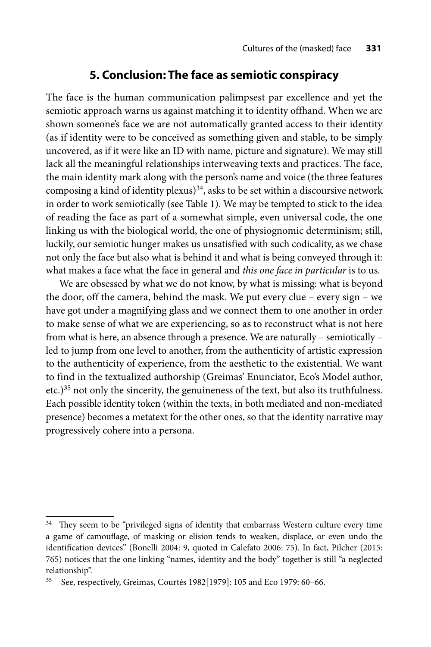# **5. Conclusion: The face as semiotic conspiracy**

The face is the human communication palimpsest par excellence and yet the semiotic approach warns us against matching it to identity offhand. When we are shown someone's face we are not automatically granted access to their identity (as if identity were to be conceived as something given and stable, to be simply uncovered, as if it were like an ID with name, picture and signature). We may still lack all the meaningful relationships interweaving texts and practices. The face, the main identity mark along with the person's name and voice (the three features composing a kind of identity plexus)<sup>34</sup>, asks to be set within a discoursive network in order to work semiotically (see Table 1). We may be tempted to stick to the idea of reading the face as part of a somewhat simple, even universal code, the one linking us with the biological world, the one of physiognomic determinism; still, luckily, our semiotic hunger makes us unsatisfied with such codicality, as we chase not only the face but also what is behind it and what is being conveyed through it: what makes a face what the face in general and *this one face in particular* is to us.

We are obsessed by what we do not know, by what is missing: what is beyond the door, off the camera, behind the mask. We put every clue – every sign – we have got under a magnifying glass and we connect them to one another in order to make sense of what we are experiencing, so as to reconstruct what is not here from what is here, an absence through a presence. We are naturally – semiotically – led to jump from one level to another, from the authenticity of artistic expression to the authenticity of experience, from the aesthetic to the existential. We want to find in the textualized authorship (Greimas' Enunciator, Eco's Model author, etc.)<sup>35</sup> not only the sincerity, the genuineness of the text, but also its truthfulness. Each possible identity token (within the texts, in both mediated and non-mediated presence) becomes a metatext for the other ones, so that the identity narrative may progressively cohere into a persona.

<sup>&</sup>lt;sup>34</sup> They seem to be "privileged signs of identity that embarrass Western culture every time a game of camouflage, of masking or elision tends to weaken, displace, or even undo the identification devices" (Bonelli 2004: 9, quoted in Calefato 2006: 75). In fact, Pilcher (2015: 765) notices that the one linking "names, identity and the body" together is still "a neglected relationship".

<sup>35</sup> See, respectively, Greimas, Courtés 1982[1979]: 105 and Eco 1979: 60–66.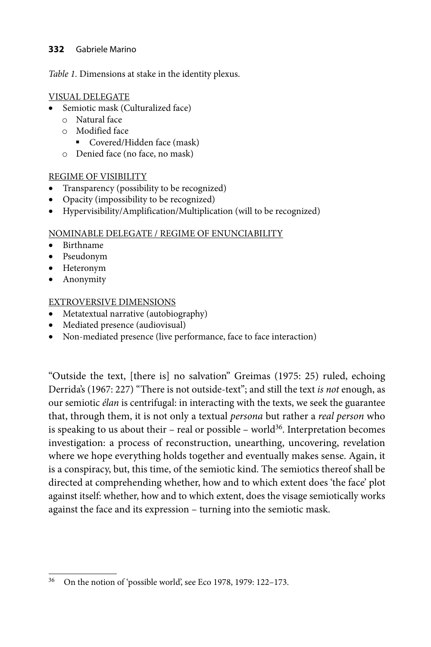#### **332** Gabriele Marino

*Table 1.* Dimensions at stake in the identity plexus.

#### VISUAL DELEGATE

- Semiotic mask (Culturalized face)
	- o Natural face
	- o Modified face
		- Covered/Hidden face (mask)
	- o Denied face (no face, no mask)

#### REGIME OF VISIBILITY

- Transparency (possibility to be recognized)
- Opacity (impossibility to be recognized)
- Hypervisibility/Amplification/Multiplication (will to be recognized)

#### NOMINABLE DELEGATE / REGIME OF ENUNCIABILITY

- Birthname
- Pseudonym
- Heteronym
- Anonymity

### EXTROVERSIVE DIMENSIONS

- Metatextual narrative (autobiography)
- Mediated presence (audiovisual)
- Non-mediated presence (live performance, face to face interaction)

"Outside the text, [there is] no salvation" Greimas (1975: 25) ruled, echoing Derrida's (1967: 227) "There is not outside-text"; and still the text *is not* enough, as our semiotic *élan* is centrifugal: in interacting with the texts, we seek the guarantee that, through them, it is not only a textual *persona* but rather a *real person* who is speaking to us about their – real or possible – world $36$ . Interpretation becomes investigation: a process of reconstruction, unearthing, uncovering, revelation where we hope everything holds together and eventually makes sense. Again, it is a conspiracy, but, this time, of the semiotic kind. The semiotics thereof shall be directed at comprehending whether, how and to which extent does 'the face' plot against itself: whether, how and to which extent, does the visage semiotically works against the face and its expression – turning into the semiotic mask.

<sup>36</sup> On the notion of 'possible world', see Eco 1978, 1979: 122–173.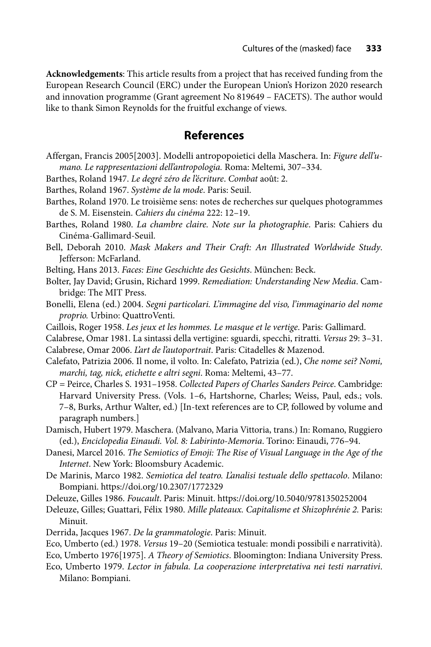**Acknowledgements**: This article results from a project that has received funding from the European Research Council (ERC) under the European Union's Horizon 2020 research and innovation programme (Grant agreement No 819649 – FACETS). The author would like to thank Simon Reynolds for the fruitful exchange of views.

### **References**

- Affergan, Francis 2005[2003]. Modelli antropopoietici della Maschera. In: *Figure dell'umano. Le rappresentazioni dell'antropologia.* Roma: Meltemi, 307–334.
- Barthes, Roland 1947. *Le degré zéro de l'écriture*. *Combat* août: 2.
- Barthes, Roland 1967. *Système de la mode*. Paris: Seuil.
- Barthes, Roland 1970. Le troisième sens: notes de recherches sur quelques photogrammes de S. M. Eisenstein. *Cahiers du cinéma* 222: 12–19.
- Barthes, Roland 1980. *La chambre claire. Note sur la photographie*. Paris: Cahiers du Cinéma-Gallimard-Seuil.
- Bell, Deborah 2010. *Mask Makers and Their Craft: An Illustrated Worldwide Study*. Jefferson: McFarland.
- Belting, Hans 2013. *Faces: Eine Geschichte des Gesichts*. München: Beck.
- Bolter, Jay David; Grusin, Richard 1999. *Remediation: Understanding New Media*. Cambridge: The MIT Press.
- Bonelli, Elena (ed.) 2004. *Segni particolari. L'immagine del viso, l'immaginario del nome proprio.* Urbino: QuattroVenti.
- Caillois, Roger 1958. *Les jeux et les hommes. Le masque et le vertige*. Paris: Gallimard.
- Calabrese, Omar 1981. La sintassi della vertigine: sguardi, specchi, ritratti. *Versus* 29: 3–31. Calabrese, Omar 2006. *L'art de l'autoportrait*. Paris: Citadelles & Mazenod.
- Calefato, Patrizia 2006. Il nome, il volto. In: Calefato, Patrizia (ed.), *Che nome sei? Nomi, marchi, tag, nick, etichette e altri segni*. Roma: Meltemi, 43–77.
- CP = Peirce, Charles S. 1931–1958. *Collected Papers of Charles Sanders Peirce*. Cambridge: Harvard University Press. (Vols. 1–6, Hartshorne, Charles; Weiss, Paul, eds.; vols. 7–8, Burks, Arthur Walter, ed.) [In-text references are to CP, followed by volume and paragraph numbers.]
- Damisch, Hubert 1979. Maschera. (Malvano, Maria Vittoria, trans.) In: Romano, Ruggiero (ed.), *Enciclopedia Einaudi. Vol. 8: Labirinto-Memoria*. Torino: Einaudi, 776–94.
- Danesi, Marcel 2016. *The Semiotics of Emoji: The Rise of Visual Language in the Age of the Internet*. New York: Bloomsbury Academic.
- De Marinis, Marco 1982. *Semiotica del teatro. L'analisi testuale dello spettacolo*. Milano: Bompiani. https://doi.org/10.2307/1772329
- Deleuze, Gilles 1986. *Foucault*. Paris: Minuit. https://doi.org/10.5040/9781350252004
- Deleuze, Gilles; Guattari, Félix 1980. *Mille plateaux. Capitalisme et Shizophrénie 2.* Paris: Minuit.
- Derrida, Jacques 1967. *De la grammatologie*. Paris: Minuit.
- Eco, Umberto (ed.) 1978. *Versus* 19–20 (Semiotica testuale: mondi possibili e narratività).
- Eco, Umberto 1976[1975]. *A Theory of Semiotics*. Bloomington: Indiana University Press.
- Eco, Umberto 1979. *Lector in fabula. La cooperazione interpretativa nei testi narrativi*. Milano: Bompiani.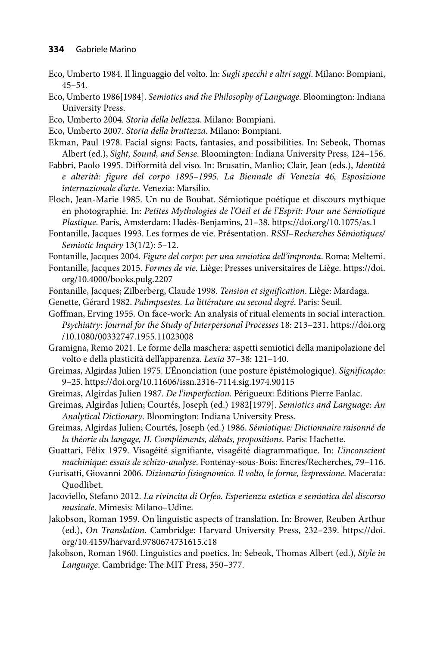- Eco, Umberto 1984. Il linguaggio del volto. In: *Sugli specchi e altri saggi*. Milano: Bompiani, 45–54.
- Eco, Umberto 1986[1984]. *Semiotics and the Philosophy of Language*. Bloomington: Indiana University Press.
- Eco, Umberto 2004*. Storia della bellezza*. Milano: Bompiani.
- Eco, Umberto 2007. *Storia della bruttezza*. Milano: Bompiani.
- Ekman, Paul 1978. Facial signs: Facts, fantasies, and possibilities. In: Sebeok, Thomas Albert (ed.), *Sight, Sound, and Sense*. Bloomington: Indiana University Press, 124–156.
- Fabbri, Paolo 1995. Difformità del viso. In: Brusatin, Manlio; Clair, Jean (eds.), *Identità e alterità: figure del corpo 1895–1995. La Biennale di Venezia 46, Esposizione internazionale d'arte*. Venezia: Marsilio.
- Floch, Jean-Marie 1985. Un nu de Boubat. Sémiotique poétique et discours mythique en photographie. In: *Petites Mythologies de l'Oeil et de l'Esprit: Pour une Semiotique Plastique*. Paris, Amsterdam: Hadès-Benjamins, 21–38. https://doi.org/10.1075/as.1
- Fontanille, Jacques 1993. Les formes de vie. Présentation. *RSSI*–*Recherches Sémiotiques/ Semiotic Inquiry* 13(1/2): 5–12.
- Fontanille, Jacques 2004. *Figure del corpo: per una semiotica dell'impronta*. Roma: Meltemi.
- Fontanille, Jacques 2015. *Formes de vie*[. Liège: Presses universitaires de Liège. https://doi.](https://doi.org/10.4000/books.pulg.2207) org/10.4000/books.pulg.2207
- Fontanille, Jacques; Zilberberg, Claude 1998. *Tension et signification*. Liège: Mardaga.
- Genette, Gérard 1982. *Palimpsestes. La littérature au second degré*. Paris: Seuil.
- Goffman, Erving 1955. On face-work: An analysis of ritual elements in social interaction. *[Psychiatry: Journal for the Study of Interpersonal Processes](https://doi.org/10.1080/00332747.1955.11023008)* 18: 213–231. https://doi.org /10.1080/00332747.1955.11023008
- Gramigna, Remo 2021. Le forme della maschera: aspetti semiotici della manipolazione del volto e della plasticità dell'apparenza. *Lexia* 37–38: 121–140.
- Greimas, Algirdas Julien 1975. L'Énonciation (une posture épistémologique). *Significação*: 9–25. https://doi.org/10.11606/issn.2316-7114.sig.1974.90115
- Greimas, Algirdas Julien 1987. *De l'imperfection*. Périgueux: Éditions Pierre Fanlac.
- Greimas, Algirdas Julien; Courtés, Joseph (ed.) 1982[1979]. *Semiotics and Language: An Analytical Dictionary*. Bloomington: Indiana University Press.
- Greimas, Algirdas Julien; Courtés, Joseph (ed.) 1986. *Sémiotique: Dictionnaire raisonné de la théorie du langage, II. Compléments, débats, propositions*. Paris: Hachette.
- Guattari, Félix 1979. Visagéité signifiante, visagéité diagrammatique. In: *L'inconscient machinique: essais de schizo-analyse*. Fontenay-sous-Bois: Encres/Recherches, 79–116.
- Gurisatti, Giovanni 2006. *Dizionario fisiognomico. Il volto, le forme, l'espressione*. Macerata: Quodlibet.
- Jacoviello, Stefano 2012. *La rivincita di Orfeo. Esperienza estetica e semiotica del discorso musicale*. Mimesis: Milano–Udine.
- Jakobson, Roman 1959. On linguistic aspects of translation. In: Brower, Reuben Arthur (ed.), *On Translation*[. Cambridge: Harvard University Press, 232–239. https://doi.](https://doi.org/10.4159/harvard.9780674731615.c18) org/10.4159/harvard.9780674731615.c18
- Jakobson, Roman 1960. Linguistics and poetics. In: Sebeok, Thomas Albert (ed.), *Style in Language*. Cambridge: The MIT Press, 350–377.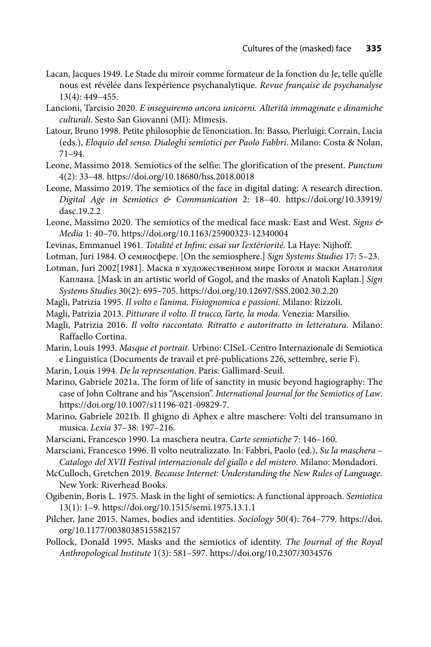- Lacan, Jacques 1949. Le Stade du miroir comme formateur de la fonction du Je, telle qu'elle nous est révélée dans l'expérience psychanalytique. *Revue française de psychanalyse* 13(4): 449–455.
- Lancioni, Tarcisio 2020. *E inseguiremo ancora unicorni. Alterità immaginate e dinamiche culturali*. Sesto San Giovanni (MI): Mimesis.
- Latour, Bruno 1998. Petite philosophie de l'énonciation. In: Basso, Pierluigi; Corrain, Lucia (eds.), *Eloquio del senso. Dialoghi semiotici per Paolo Fabbri*. Milano: Costa & Nolan, 71–94.
- Leone, Massimo 2018. Semiotics of the selfie: The glorification of the present. *Punctum* 4(2): 33–48. https://doi.org/10.18680/hss.2018.0018
- Leone, Massimo 2019. The semiotics of the face in digital dating: A research direction. *[Digital Age in Semiotics & Communication](https://doi.org/10.33919/dasc.19.2.2)* 2: 18–40. https://doi.org/10.33919/ dasc.19.2.2
- Leone, Massimo 2020. The semiotics of the medical face mask: East and West. *Signs & Media* 1: 40–70. https://doi.org/10.1163/25900323-12340004
- Levinas, Emmanuel 1961. *Totalité et Infini: essai sur l'extériorité*. La Haye: Nijhoff.
- Lotman, Juri 1984. О семиосфере. [On the semiosphere.] *Sign Systems Studies* 17: 5–23.
- Lotman, Juri 2002[1981]. Маска в художественном мире Гоголя и маски Анатолия Каплана. [Mask in an artistic world of Gogol, and the masks of Anatoli Kaplan.] *Sign Systems Studies* 30(2): 695–705. https://doi.org/10.12697/SSS.2002.30.2.20
- Magli, Patrizia 1995. *Il volto e l'anima. Fisiognomica e passioni*. Milano: Rizzoli.
- Magli, Patrizia 2013. *Pitturare il volto. Il trucco, l'arte, la moda*. Venezia: Marsilio.
- Magli, Patrizia 2016. *Il volto raccontato. Ritratto e autoritratto in letteratura*. Milano: Raffaello Cortina.
- Marin, Louis 1993. *Masque et portrait*. Urbino: CISeL-Centro Internazionale di Semiotica e Linguistica (Documents de travail et pré-publications 226, settembre, serie F).
- Marin, Louis 1994. *De la representation*. Paris: Gallimard-Seuil.
- Marino, Gabriele 2021a. The form of life of sanctity in music beyond hagiography: The case of John Coltrane and his "Ascension". *International Journal for the Semiotics of Law*. https://doi.org/10.1007/s11196-021-09829-7.
- Marino, Gabriele 2021b. Il ghigno di Aphex e altre maschere: Volti del transumano in musica. *Lexia* 37–38: 197–216.
- Marsciani, Francesco 1990. La maschera neutra. *Carte semiotiche* 7: 146–160.
- Marsciani, Francesco 1996. Il volto neutralizzato. In: Fabbri, Paolo (ed.), *Su la maschera Catalogo del XVII Festival internazionale del giallo e del mistero*. Milano: Mondadori.
- McCulloch, Gretchen 2019. *Because Internet: Understanding the New Rules of Language.* New York: Riverhead Books.
- Ogibenin, Boris L. 1975. Mask in the light of semiotics: A functional approach. *Semiotica* 13(1): 1–9. https://doi.org/10.1515/semi.1975.13.1.1
- Pil[cher, Jane 2015. Names, bodies and identities.](https://doi.org/10.1177/0038038515582157) *Sociology* 50(4): 764–779. https://doi. org/10.1177/0038038515582157
- Pollock, Donald 1995. Masks and the semiotics of identity. *The Journal of the Royal Anthropological Institute* 1(3): 581–597. https://doi.org/10.2307/3034576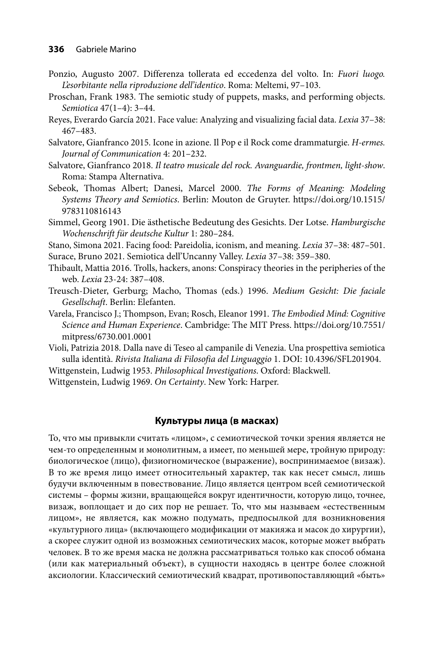- Ponzio, Augusto 2007. Differenza tollerata ed eccedenza del volto. In: *Fuori luogo. L'esorbitante nella riproduzione dell'identico*. Roma: Meltemi, 97–103.
- Proschan, Frank 1983. The semiotic study of puppets, masks, and performing objects. *Semiotica* 47(1–4): 3–44.
- Reyes, Everardo García 2021. Face value: Analyzing and visualizing facial data. *Lexia* 37–38: 467–483.
- Salvatore, Gianfranco 2015. Icone in azione. Il Pop e il Rock come drammaturgie. *H-ermes. Journal of Communication* 4: 201–232.
- Salvatore, Gianfranco 2018. *Il teatro musicale del rock. Avanguardie, frontmen, light-show*. Roma: Stampa Alternativa.
- Sebeok, Thomas Albert; Danesi, Marcel 2000. *The Forms of Meaning: Modeling Systems Theory and Semiotics*[. Berlin: Mouton de Gruyter. https://doi.org/10.1515/](https://doi.org/10.1515/9783110816143) 9783110816143
- Simmel, Georg 1901. Die ästhetische Bedeutung des Gesichts. Der Lotse. *Hamburgische Wochenschrift für deutsche Kultur* 1: 280–284.
- Stano, Simona 2021. Facing food: Pareidolia, iconism, and meaning. *Lexia* 37–38: 487–501. Surace, Bruno 2021. Semiotica dell'Uncanny Valley. *Lexia* 37–38: 359–380.
- Thibault, Mattia 2016. Trolls, hackers, anons: Conspiracy theories in the peripheries of the web. *Lexia* 23-24: 387–408.
- Treusch-Dieter, Gerburg; Macho, Thomas (eds.) 1996. *Medium Gesicht: Die faciale Gesellschaft*. Berlin: Elefanten.
- Varela, Francisco J.; Thompson, Evan; Rosch, Eleanor 1991. *The Embodied Mind: Cognitive Science and Human Experience*[. Cambridge: The MIT Press. https://doi.org/10.7551/](https://doi.org/10.7551/mitpress/6730.001.0001) mitpress/6730.001.0001
- Violi, Patrizia 2018. Dalla nave di Teseo al campanile di Venezia. Una prospettiva semiotica sulla identità. *Rivista Italiana di Filosofia del Linguaggio* 1. [DOI: 10.4396/SFL201904.](https://doi.org/10.4396/SFL201904)
- Wittgenstein, Ludwig 1953. *Philosophical Investigations*. Oxford: Blackwell.
- Wittgenstein, Ludwig 1969. *On Certainty*. New York: Harper.

#### **Культуры лица (в масках)**

То, что мы привыкли считать «лицом», с семиотической точки зрения является не чем-то определенным и монолитным, а имеет, по меньшей мере, тройную природу: биологическое (лицо), физиогномическое (выражение), воспринимаемое (визаж). В то же время лицо имеет относительный характер, так как несет смысл, лишь будучи включенным в повествование. Лицо является центром всей семиотической системы – формы жизни, вращающейся вокруг идентичности, которую лицо, точнее, визаж, воплощает и до сих пор не решает. То, что мы называем «естественным лицом», не является, как можно подумать, предпосылкой для возникновения «культурного лица» (включающего модификации от макияжа и масок до хирургии), а скорее служит одной из возможных семиотических масок, которые может выбрать человек. В то же время маска не должна рассматриваться только как способ обмана (или как материальный объект), в сущности находясь в центре более сложной аксиологии. Классический семиотический квадрат, противопоставляющий «быть»